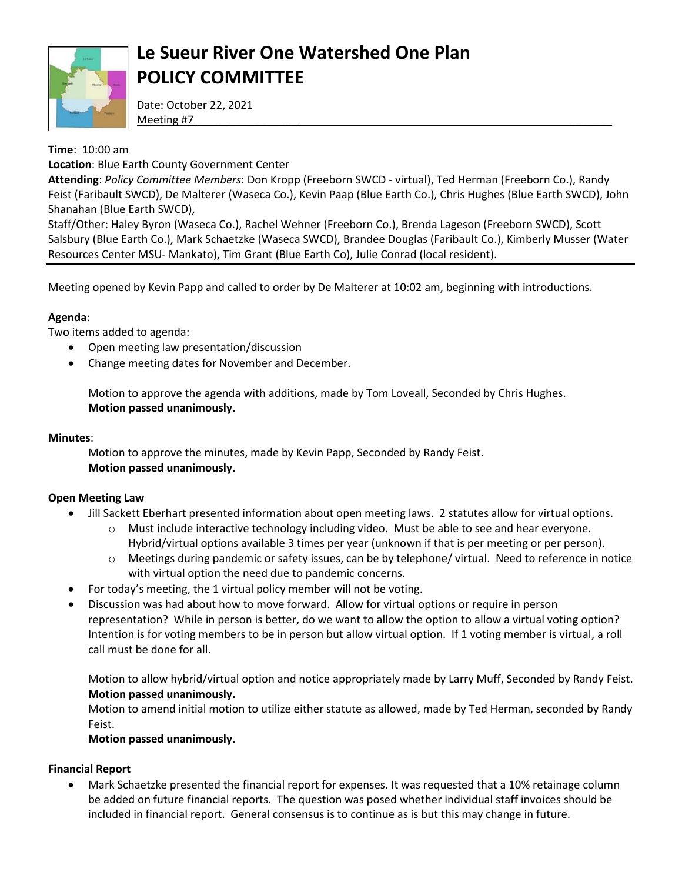

# **Le Sueur River One Watershed One Plan POLICY COMMITTEE**

Date: October 22, 2021 Meeting #7\_\_\_\_\_\_\_\_\_\_\_\_\_\_\_\_\_ \_\_\_\_\_\_\_

## **Time**: 10:00 am

**Location**: Blue Earth County Government Center

**Attending**: *Policy Committee Members*: Don Kropp (Freeborn SWCD - virtual), Ted Herman (Freeborn Co.), Randy Feist (Faribault SWCD), De Malterer (Waseca Co.), Kevin Paap (Blue Earth Co.), Chris Hughes (Blue Earth SWCD), John Shanahan (Blue Earth SWCD),

Staff/Other: Haley Byron (Waseca Co.), Rachel Wehner (Freeborn Co.), Brenda Lageson (Freeborn SWCD), Scott Salsbury (Blue Earth Co.), Mark Schaetzke (Waseca SWCD), Brandee Douglas (Faribault Co.), Kimberly Musser (Water Resources Center MSU- Mankato), Tim Grant (Blue Earth Co), Julie Conrad (local resident).

Meeting opened by Kevin Papp and called to order by De Malterer at 10:02 am, beginning with introductions.

## **Agenda**:

Two items added to agenda:

- Open meeting law presentation/discussion
- Change meeting dates for November and December.

Motion to approve the agenda with additions, made by Tom Loveall, Seconded by Chris Hughes. **Motion passed unanimously.** 

### **Minutes**:

Motion to approve the minutes, made by Kevin Papp, Seconded by Randy Feist. **Motion passed unanimously.** 

#### **Open Meeting Law**

- Jill Sackett Eberhart presented information about open meeting laws. 2 statutes allow for virtual options.
	- $\circ$  Must include interactive technology including video. Must be able to see and hear everyone. Hybrid/virtual options available 3 times per year (unknown if that is per meeting or per person).
	- o Meetings during pandemic or safety issues, can be by telephone/ virtual. Need to reference in notice with virtual option the need due to pandemic concerns.
- For today's meeting, the 1 virtual policy member will not be voting.
- Discussion was had about how to move forward. Allow for virtual options or require in person representation? While in person is better, do we want to allow the option to allow a virtual voting option? Intention is for voting members to be in person but allow virtual option. If 1 voting member is virtual, a roll call must be done for all.

Motion to allow hybrid/virtual option and notice appropriately made by Larry Muff, Seconded by Randy Feist. **Motion passed unanimously.** 

Motion to amend initial motion to utilize either statute as allowed, made by Ted Herman, seconded by Randy Feist.

#### **Motion passed unanimously.**

### **Financial Report**

 Mark Schaetzke presented the financial report for expenses. It was requested that a 10% retainage column be added on future financial reports. The question was posed whether individual staff invoices should be included in financial report. General consensus is to continue as is but this may change in future.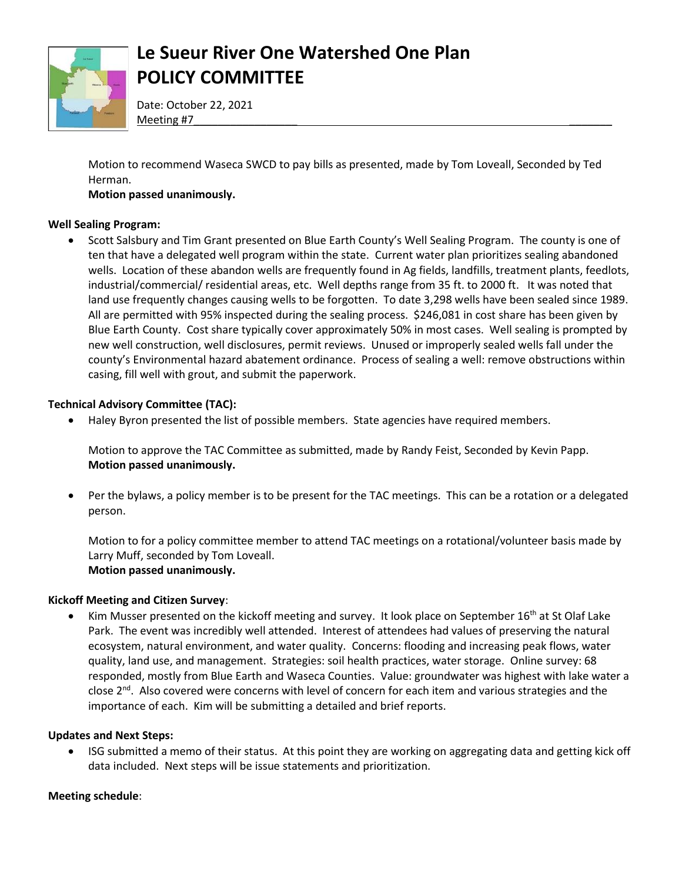

# **Le Sueur River One Watershed One Plan POLICY COMMITTEE**

Date: October 22, 2021 Meeting #7\_\_\_\_\_\_\_\_\_\_\_\_\_\_\_\_\_ \_\_\_\_\_\_\_

Motion to recommend Waseca SWCD to pay bills as presented, made by Tom Loveall, Seconded by Ted Herman.

### **Motion passed unanimously.**

#### **Well Sealing Program:**

 Scott Salsbury and Tim Grant presented on Blue Earth County's Well Sealing Program. The county is one of ten that have a delegated well program within the state. Current water plan prioritizes sealing abandoned wells. Location of these abandon wells are frequently found in Ag fields, landfills, treatment plants, feedlots, industrial/commercial/ residential areas, etc. Well depths range from 35 ft. to 2000 ft. It was noted that land use frequently changes causing wells to be forgotten. To date 3,298 wells have been sealed since 1989. All are permitted with 95% inspected during the sealing process. \$246,081 in cost share has been given by Blue Earth County. Cost share typically cover approximately 50% in most cases. Well sealing is prompted by new well construction, well disclosures, permit reviews. Unused or improperly sealed wells fall under the county's Environmental hazard abatement ordinance. Process of sealing a well: remove obstructions within casing, fill well with grout, and submit the paperwork.

#### **Technical Advisory Committee (TAC):**

Haley Byron presented the list of possible members. State agencies have required members.

Motion to approve the TAC Committee as submitted, made by Randy Feist, Seconded by Kevin Papp. **Motion passed unanimously.** 

 Per the bylaws, a policy member is to be present for the TAC meetings. This can be a rotation or a delegated person.

Motion to for a policy committee member to attend TAC meetings on a rotational/volunteer basis made by Larry Muff, seconded by Tom Loveall. **Motion passed unanimously.** 

#### **Kickoff Meeting and Citizen Survey**:

• Kim Musser presented on the kickoff meeting and survey. It look place on September 16<sup>th</sup> at St Olaf Lake Park. The event was incredibly well attended. Interest of attendees had values of preserving the natural ecosystem, natural environment, and water quality. Concerns: flooding and increasing peak flows, water quality, land use, and management. Strategies: soil health practices, water storage. Online survey: 68 responded, mostly from Blue Earth and Waseca Counties. Value: groundwater was highest with lake water a close 2<sup>nd</sup>. Also covered were concerns with level of concern for each item and various strategies and the importance of each. Kim will be submitting a detailed and brief reports.

#### **Updates and Next Steps:**

 ISG submitted a memo of their status. At this point they are working on aggregating data and getting kick off data included. Next steps will be issue statements and prioritization.

#### **Meeting schedule**: